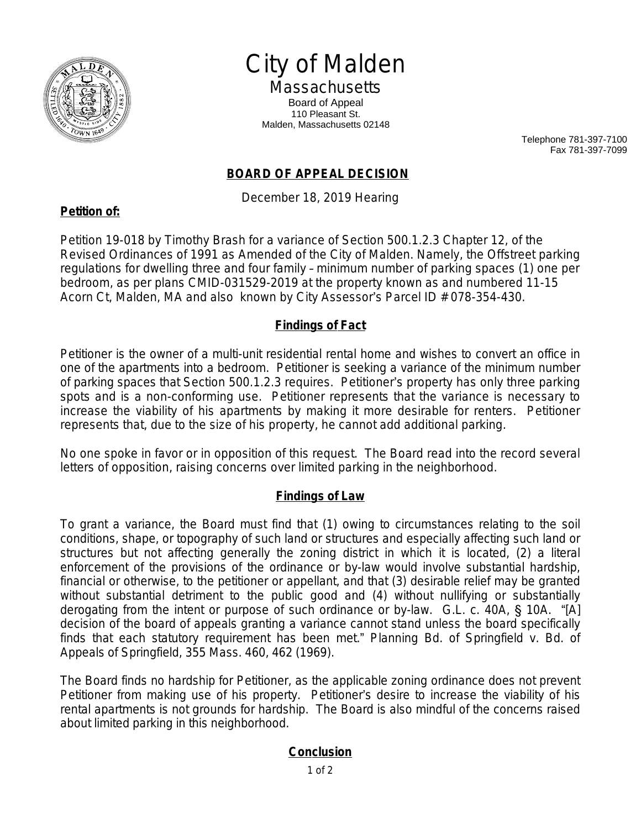

# City of Malden

**Massachusetts** Board of Appeal 110 Pleasant St. Malden, Massachusetts 02148

> Telephone 781-397-7100 Fax 781-397-7099

## **BOARD OF APPEAL DECISION**

December 18, 2019 Hearing

Petition 19-018 by Timothy Brash for a variance of Section 500.1.2.3 Chapter 12, of the Revised Ordinances of 1991 as Amended of the City of Malden. Namely, the Offstreet parking regulations for dwelling three and four family – minimum number of parking spaces (1) one per bedroom, as per plans CMID-031529-2019 at the property known as and numbered 11-15 Acorn Ct, Malden, MA and also known by City Assessor's Parcel ID # 078-354-430.

### **Findings of Fact**

Petitioner is the owner of a multi-unit residential rental home and wishes to convert an office in one of the apartments into a bedroom. Petitioner is seeking a variance of the minimum number of parking spaces that Section 500.1.2.3 requires. Petitioner's property has only three parking spots and is a non-conforming use. Petitioner represents that the variance is necessary to increase the viability of his apartments by making it more desirable for renters. Petitioner represents that, due to the size of his property, he cannot add additional parking.

No one spoke in favor or in opposition of this request. The Board read into the record several letters of opposition, raising concerns over limited parking in the neighborhood.

#### **Findings of Law**

To grant a variance, the Board must find that (1) owing to circumstances relating to the soil conditions, shape, or topography of such land or structures and especially affecting such land or structures but not affecting generally the zoning district in which it is located, (2) a literal enforcement of the provisions of the ordinance or by-law would involve substantial hardship, financial or otherwise, to the petitioner or appellant, and that (3) desirable relief may be granted without substantial detriment to the public good and (4) without nullifying or substantially derogating from the intent or purpose of such ordinance or by-law. G.L. c. 40A, § 10A. "[A] decision of the board of appeals granting a variance cannot stand unless the board specifically finds that each statutory requirement has been met." *Planning Bd. of Springfield v. Bd. of Appeals of Springfield*, 355 Mass. 460, 462 (1969).

The Board finds no hardship for Petitioner, as the applicable zoning ordinance does not prevent Petitioner from making use of his property. Petitioner's desire to increase the viability of his rental apartments is not grounds for hardship. The Board is also mindful of the concerns raised about limited parking in this neighborhood.

## **Conclusion**

## **Petition of:**